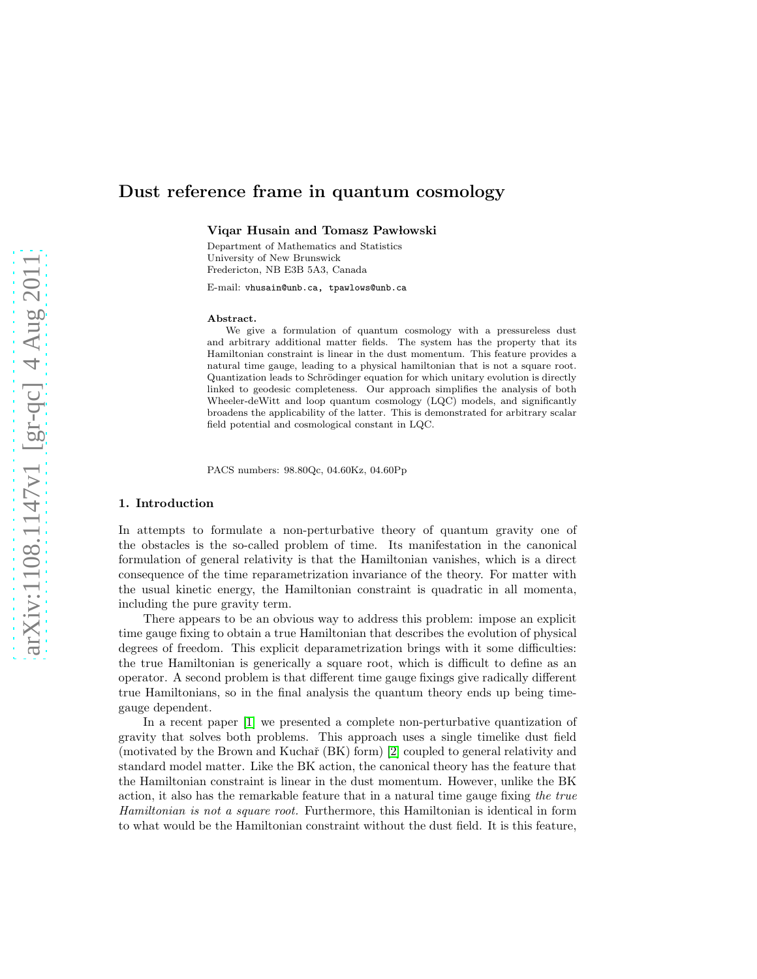# Dust reference frame in quantum cosmology

Viqar Husain and Tomasz Pawłowski

Department of Mathematics and Statistics University of New Brunswick Fredericton, NB E3B 5A3, Canada

E-mail: vhusain@unb.ca, tpawlows@unb.ca

#### Abstract.

We give a formulation of quantum cosmology with a pressureless dust and arbitrary additional matter fields. The system has the property that its Hamiltonian constraint is linear in the dust momentum. This feature provides a natural time gauge, leading to a physical hamiltonian that is not a square root. Quantization leads to Schrödinger equation for which unitary evolution is directly linked to geodesic completeness. Our approach simplifies the analysis of both Wheeler-deWitt and loop quantum cosmology (LQC) models, and significantly broadens the applicability of the latter. This is demonstrated for arbitrary scalar field potential and cosmological constant in LQC.

PACS numbers: 98.80Qc, 04.60Kz, 04.60Pp

# 1. Introduction

In attempts to formulate a non-perturbative theory of quantum gravity one of the obstacles is the so-called problem of time. Its manifestation in the canonical formulation of general relativity is that the Hamiltonian vanishes, which is a direct consequence of the time reparametrization invariance of the theory. For matter with the usual kinetic energy, the Hamiltonian constraint is quadratic in all momenta, including the pure gravity term.

There appears to be an obvious way to address this problem: impose an explicit time gauge fixing to obtain a true Hamiltonian that describes the evolution of physical degrees of freedom. This explicit deparametrization brings with it some difficulties: the true Hamiltonian is generically a square root, which is difficult to define as an operator. A second problem is that different time gauge fixings give radically different true Hamiltonians, so in the final analysis the quantum theory ends up being timegauge dependent.

In a recent paper [\[1\]](#page-7-0) we presented a complete non-perturbative quantization of gravity that solves both problems. This approach uses a single timelike dust field (motivated by the Brown and Kuchař  $(BK)$  form) [\[2\]](#page-7-1) coupled to general relativity and standard model matter. Like the BK action, the canonical theory has the feature that the Hamiltonian constraint is linear in the dust momentum. However, unlike the BK action, it also has the remarkable feature that in a natural time gauge fixing the true Hamiltonian is not a square root. Furthermore, this Hamiltonian is identical in form to what would be the Hamiltonian constraint without the dust field. It is this feature,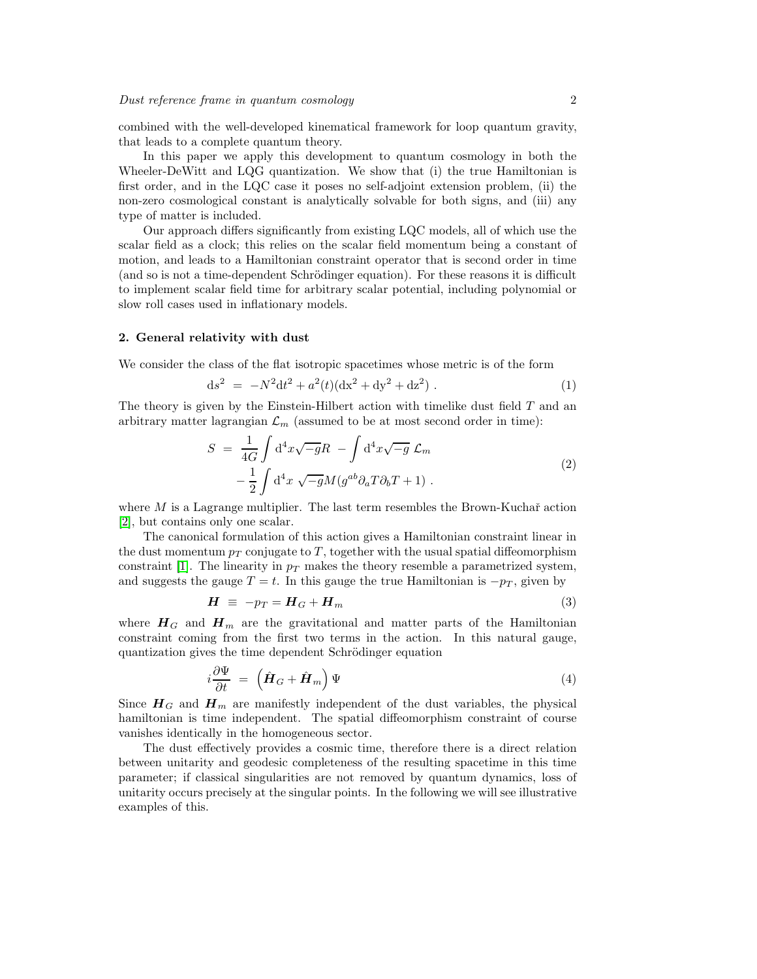combined with the well-developed kinematical framework for loop quantum gravity, that leads to a complete quantum theory.

In this paper we apply this development to quantum cosmology in both the Wheeler-DeWitt and LQG quantization. We show that (i) the true Hamiltonian is first order, and in the LQC case it poses no self-adjoint extension problem, (ii) the non-zero cosmological constant is analytically solvable for both signs, and (iii) any type of matter is included.

Our approach differs significantly from existing LQC models, all of which use the scalar field as a clock; this relies on the scalar field momentum being a constant of motion, and leads to a Hamiltonian constraint operator that is second order in time (and so is not a time-dependent Schrödinger equation). For these reasons it is difficult to implement scalar field time for arbitrary scalar potential, including polynomial or slow roll cases used in inflationary models.

#### 2. General relativity with dust

We consider the class of the flat isotropic spacetimes whose metric is of the form

<span id="page-1-1"></span>
$$
ds^{2} = -N^{2}dt^{2} + a^{2}(t)(dx^{2} + dy^{2} + dz^{2}).
$$
 (1)

The theory is given by the Einstein-Hilbert action with timelike dust field  $T$  and an arbitrary matter lagrangian  $\mathcal{L}_m$  (assumed to be at most second order in time):

$$
S = \frac{1}{4G} \int d^4x \sqrt{-g}R - \int d^4x \sqrt{-g} \mathcal{L}_m
$$
  
 
$$
- \frac{1}{2} \int d^4x \sqrt{-g}M(g^{ab}\partial_a T \partial_b T + 1) .
$$
 (2)

where  $M$  is a Lagrange multiplier. The last term resembles the Brown-Kuchař action [\[2\]](#page-7-1), but contains only one scalar.

The canonical formulation of this action gives a Hamiltonian constraint linear in the dust momentum  $p_T$  conjugate to T, together with the usual spatial diffeomorphism constraint [\[1\]](#page-7-0). The linearity in  $p_T$  makes the theory resemble a parametrized system, and suggests the gauge  $T = t$ . In this gauge the true Hamiltonian is  $-p<sub>T</sub>$ , given by

$$
H \equiv -p_T = H_G + H_m \tag{3}
$$

where  $H_G$  and  $H_m$  are the gravitational and matter parts of the Hamiltonian constraint coming from the first two terms in the action. In this natural gauge, quantization gives the time dependent Schrödinger equation

<span id="page-1-0"></span>
$$
i\frac{\partial \Psi}{\partial t} = \left(\hat{\boldsymbol{H}}_G + \hat{\boldsymbol{H}}_m\right)\Psi\tag{4}
$$

Since  $H_G$  and  $H_m$  are manifestly independent of the dust variables, the physical hamiltonian is time independent. The spatial diffeomorphism constraint of course vanishes identically in the homogeneous sector.

The dust effectively provides a cosmic time, therefore there is a direct relation between unitarity and geodesic completeness of the resulting spacetime in this time parameter; if classical singularities are not removed by quantum dynamics, loss of unitarity occurs precisely at the singular points. In the following we will see illustrative examples of this.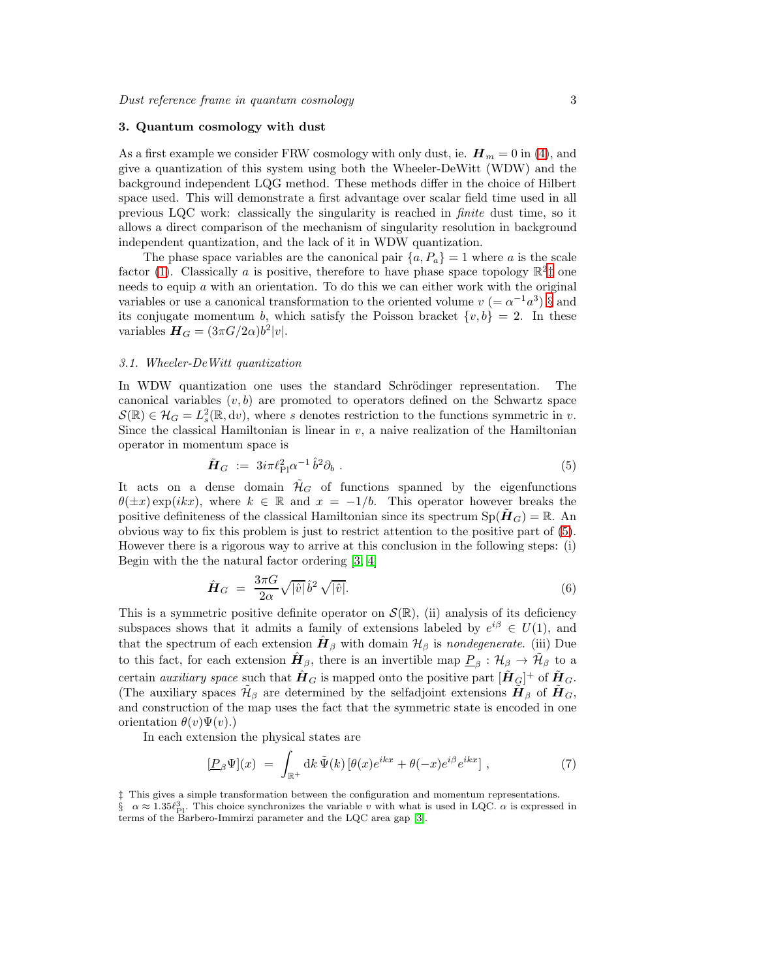# 3. Quantum cosmology with dust

As a first example we consider FRW cosmology with only dust, ie.  $\mathbf{H}_m = 0$  in [\(4\)](#page-1-0), and give a quantization of this system using both the Wheeler-DeWitt (WDW) and the background independent LQG method. These methods differ in the choice of Hilbert space used. This will demonstrate a first advantage over scalar field time used in all previous LQC work: classically the singularity is reached in finite dust time, so it allows a direct comparison of the mechanism of singularity resolution in background independent quantization, and the lack of it in WDW quantization.

The phase space variables are the canonical pair  $\{a, P_a\} = 1$  where a is the scale factor [\(1\)](#page-1-1). Classically a is positive, therefore to have phase space topology  $\mathbb{R}^2$  one needs to equip  $\alpha$  with an orientation. To do this we can either work with the original variables or use a canonical transformation to the oriented volume  $v = \alpha^{-1} a^3$  [§](#page-2-1) and its conjugate momentum b, which satisfy the Poisson bracket  $\{v, b\} = 2$ . In these variables  $H_G = (3\pi G/2\alpha)b^2|v|.$ 

# 3.1. Wheeler-DeWitt quantization

In WDW quantization one uses the standard Schrödinger representation. The canonical variables  $(v, b)$  are promoted to operators defined on the Schwartz space  $\mathcal{S}(\mathbb{R}) \in \mathcal{H}_G = L_s^2(\mathbb{R}, dv)$ , where s denotes restriction to the functions symmetric in v. Since the classical Hamiltonian is linear in  $v$ , a naive realization of the Hamiltonian operator in momentum space is

<span id="page-2-2"></span>
$$
\tilde{\boldsymbol{H}}_G := 3i\pi \ell_{\text{Pl}}^2 \alpha^{-1} \hat{b}^2 \partial_b \ . \tag{5}
$$

It acts on a dense domain  $\mathcal{H}_G$  of functions spanned by the eigenfunctions  $\theta(\pm x) \exp(ikx)$ , where  $k \in \mathbb{R}$  and  $x = -1/b$ . This operator however breaks the positive definiteness of the classical Hamiltonian since its spectrum  $Sp(\tilde{H}_G) = \mathbb{R}$ . An obvious way to fix this problem is just to restrict attention to the positive part of [\(5\)](#page-2-2). However there is a rigorous way to arrive at this conclusion in the following steps: (i) Begin with the the natural factor ordering [\[3,](#page-7-2) [4\]](#page-7-3)

<span id="page-2-3"></span>
$$
\hat{H}_G = \frac{3\pi G}{2\alpha} \sqrt{|\hat{v}|} \,\hat{b}^2 \sqrt{|\hat{v}|}. \tag{6}
$$

This is a symmetric positive definite operator on  $\mathcal{S}(\mathbb{R})$ , (ii) analysis of its deficiency subspaces shows that it admits a family of extensions labeled by  $e^{i\beta} \in U(1)$ , and that the spectrum of each extension  $\hat{H}_{\beta}$  with domain  $\mathcal{H}_{\beta}$  is nondegenerate. (iii) Due to this fact, for each extension  $\hat{H}_{\beta}$ , there is an invertible map  $\underline{P}_{\beta}$ :  $\mathcal{H}_{\beta} \to \tilde{\mathcal{H}}_{\beta}$  to a certain *auxiliary space* such that  $\hat{H}_G$  is mapped onto the positive part  $[\tilde{H}_G]^+$  of  $\tilde{H}_G$ . (The auxiliary spaces  $\tilde{\mathcal{H}}_{\beta}$  are determined by the selfadjoint extensions  $\tilde{\mathbf{H}}_{\beta}$  of  $\tilde{\mathbf{H}}_G$ , and construction of the map uses the fact that the symmetric state is encoded in one orientation  $\theta(v)\Psi(v)$ .)

In each extension the physical states are

$$
[\underline{P}_{\beta}\Psi](x) = \int_{\mathbb{R}^+} dk \, \tilde{\Psi}(k) \left[\theta(x)e^{ikx} + \theta(-x)e^{i\beta}e^{ikx}\right],\tag{7}
$$

<sup>‡</sup> This gives a simple transformation between the configuration and momentum representations.

<span id="page-2-1"></span><span id="page-2-0"></span> $\frac{1}{8}$   $\alpha \approx 1.35 \ell_{\rm Pl}^3$ . This choice synchronizes the variable v with what is used in LQC.  $\alpha$  is expressed in terms of the Barbero-Immirzi parameter and the LQC area gap [\[3\]](#page-7-2).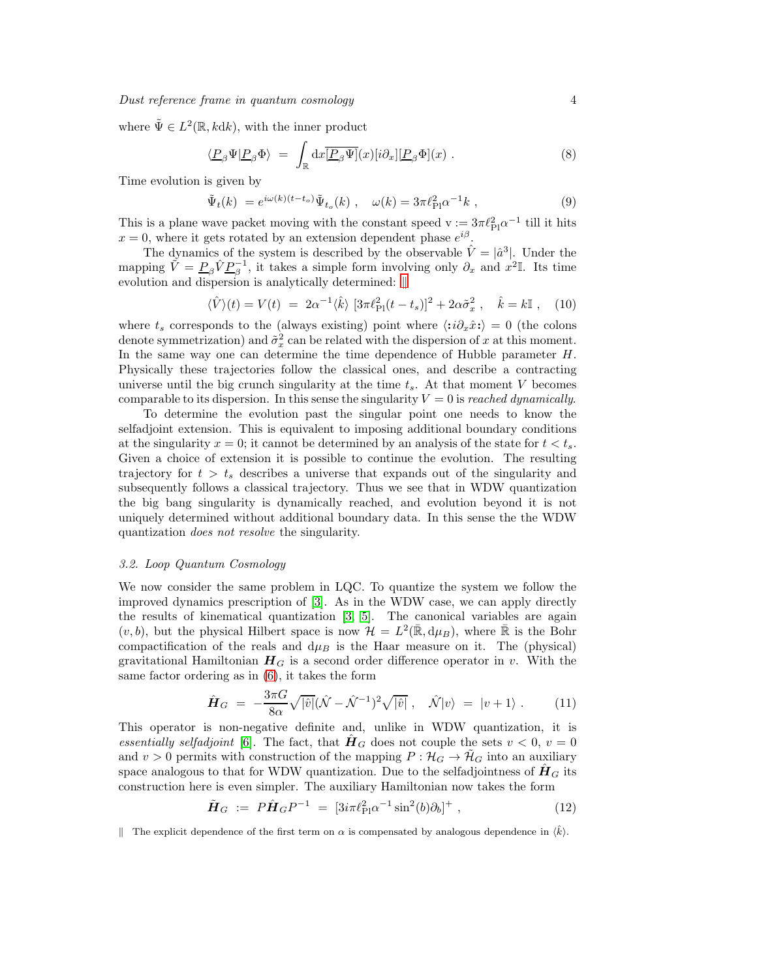where  $\tilde{\Psi} \in L^2(\mathbb{R}, k \, dk)$ , with the inner product

<span id="page-3-1"></span>
$$
\langle \underline{P}_{\beta} \Psi | \underline{P}_{\beta} \Phi \rangle = \int_{\mathbb{R}} dx \overline{[\underline{P}_{\beta} \Psi]}(x) [i \partial_x] [\underline{P}_{\beta} \Phi](x) . \tag{8}
$$

Time evolution is given by

<span id="page-3-2"></span>
$$
\tilde{\Psi}_t(k) = e^{i\omega(k)(t-t_o)} \tilde{\Psi}_{t_o}(k) , \quad \omega(k) = 3\pi \ell_{\text{Pl}}^2 \alpha^{-1} k , \qquad (9)
$$

This is a plane wave packet moving with the constant speed  $v := 3\pi \ell_{\rm Pl}^2 \alpha^{-1}$  till it hits  $x = 0$ , where it gets rotated by an extension dependent phase  $e^{i\beta}$ .

The dynamics of the system is described by the observable  $\hat{V} = |\hat{a}^3|$ . Under the mapping  $\tilde{V} = \underline{P}_{\beta} \hat{V} \underline{P}_{\beta}^{-1}$ , it takes a simple form involving only  $\partial_x$  and  $x^2$ <sup>I</sup>. Its time evolution and dispersion is analytically determined:  $\parallel$ 

<span id="page-3-3"></span>
$$
\langle \hat{V} \rangle(t) = V(t) = 2\alpha^{-1} \langle \hat{k} \rangle \left[ 3\pi \ell_{\text{Pl}}^2 (t - t_s) \right]^2 + 2\alpha \tilde{\sigma}_x^2 , \quad \hat{k} = k \mathbb{I} , \quad (10)
$$

where  $t_s$  corresponds to the (always existing) point where  $\langle :i\partial_x\hat{x}:\rangle = 0$  (the colons denote symmetrization) and  $\tilde{\sigma}_x^2$  can be related with the dispersion of x at this moment. In the same way one can determine the time dependence of Hubble parameter  $H$ . Physically these trajectories follow the classical ones, and describe a contracting universe until the big crunch singularity at the time  $t_s$ . At that moment V becomes comparable to its dispersion. In this sense the singularity  $V = 0$  is reached dynamically.

To determine the evolution past the singular point one needs to know the selfadjoint extension. This is equivalent to imposing additional boundary conditions at the singularity  $x = 0$ ; it cannot be determined by an analysis of the state for  $t < t_s$ . Given a choice of extension it is possible to continue the evolution. The resulting trajectory for  $t > t_s$  describes a universe that expands out of the singularity and subsequently follows a classical trajectory. Thus we see that in WDW quantization the big bang singularity is dynamically reached, and evolution beyond it is not uniquely determined without additional boundary data. In this sense the the WDW quantization does not resolve the singularity.

# 3.2. Loop Quantum Cosmology

We now consider the same problem in LQC. To quantize the system we follow the improved dynamics prescription of [\[3\]](#page-7-2). As in the WDW case, we can apply directly the results of kinematical quantization [\[3,](#page-7-2) [5\]](#page-7-4). The canonical variables are again  $(v, b)$ , but the physical Hilbert space is now  $\mathcal{H} = L^2(\mathbb{R}, d\mu_B)$ , where  $\mathbb{R}$  is the Bohr compactification of the reals and  $d\mu_B$  is the Haar measure on it. The (physical) gravitational Hamiltonian  $H_G$  is a second order difference operator in v. With the same factor ordering as in [\(6\)](#page-2-3), it takes the form

$$
\hat{H}_G = -\frac{3\pi G}{8\alpha} \sqrt{|\hat{v}|} (\hat{N} - \hat{N}^{-1})^2 \sqrt{|\hat{v}|} , \quad \hat{N}|v\rangle = |v+1\rangle . \tag{11}
$$

This operator is non-negative definite and, unlike in WDW quantization, it is essentially selfadjoint [\[6\]](#page-7-5). The fact, that  $\hat{H}_G$  does not couple the sets  $v < 0$ ,  $v = 0$ and  $v > 0$  permits with construction of the mapping  $P : \mathcal{H}_G \to \mathcal{H}_G$  into an auxiliary space analogous to that for WDW quantization. Due to the selfadjointness of  $H_G$  its construction here is even simpler. The auxiliary Hamiltonian now takes the form

$$
\tilde{H}_G := P \hat{H}_G P^{-1} = [3i\pi \ell_{\rm Pl}^2 \alpha^{-1} \sin^2(b)\partial_b]^+ , \qquad (12)
$$

<span id="page-3-0"></span>| The explicit dependence of the first term on  $\alpha$  is compensated by analogous dependence in  $\langle \hat{k} \rangle$ .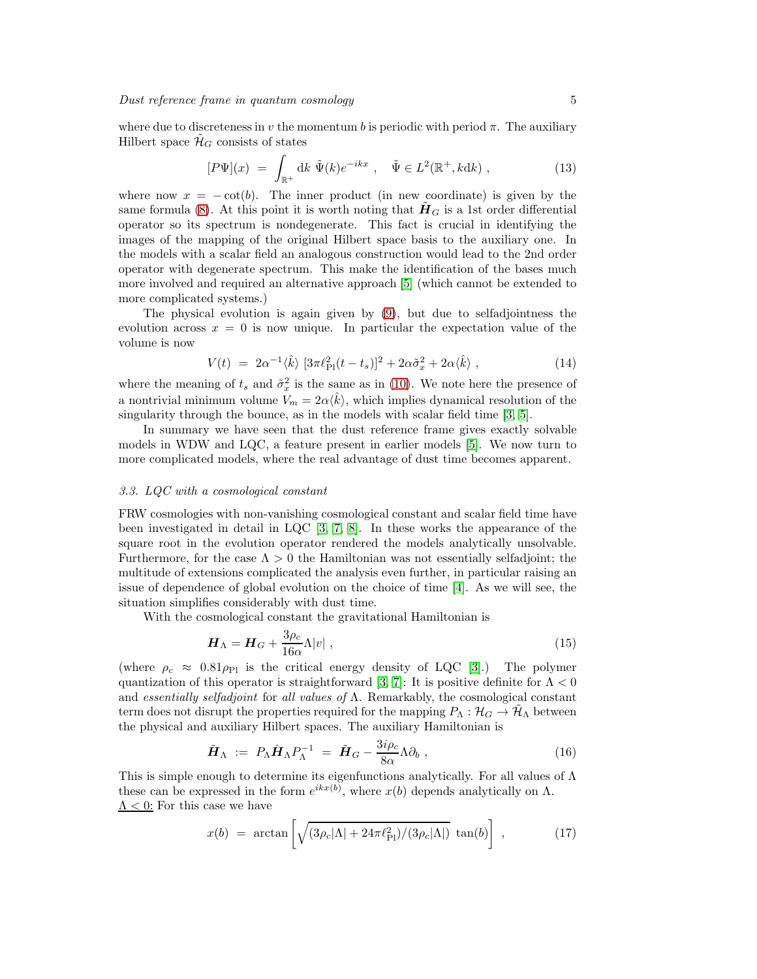where due to discreteness in v the momentum b is periodic with period  $\pi$ . The auxiliary Hilbert space  $\tilde{\mathcal{H}}_G$  consists of states

<span id="page-4-1"></span>
$$
[P\Psi](x) = \int_{\mathbb{R}^+} dk \ \tilde{\Psi}(k) e^{-ikx} , \quad \tilde{\Psi} \in L^2(\mathbb{R}^+, kdk) , \qquad (13)
$$

where now  $x = -\cot(b)$ . The inner product (in new coordinate) is given by the same formula [\(8\)](#page-3-1). At this point it is worth noting that  $H_G$  is a 1st order differential operator so its spectrum is nondegenerate. This fact is crucial in identifying the images of the mapping of the original Hilbert space basis to the auxiliary one. In the models with a scalar field an analogous construction would lead to the 2nd order operator with degenerate spectrum. This make the identification of the bases much more involved and required an alternative approach [\[5\]](#page-7-4) (which cannot be extended to more complicated systems.)

The physical evolution is again given by [\(9\)](#page-3-2), but due to selfadjointness the evolution across  $x = 0$  is now unique. In particular the expectation value of the volume is now

$$
V(t) = 2\alpha^{-1}\langle \hat{k} \rangle \left[ 3\pi \ell_{\text{Pl}}^2 (t - t_s) \right]^2 + 2\alpha \tilde{\sigma}_x^2 + 2\alpha \langle \hat{k} \rangle , \qquad (14)
$$

where the meaning of  $t_s$  and  $\tilde{\sigma}_x^2$  is the same as in [\(10\)](#page-3-3). We note here the presence of a nontrivial minimum volume  $V_m = 2\alpha \langle \hat{k} \rangle$ , which implies dynamical resolution of the singularity through the bounce, as in the models with scalar field time [\[3,](#page-7-2) [5\]](#page-7-4).

In summary we have seen that the dust reference frame gives exactly solvable models in WDW and LQC, a feature present in earlier models [\[5\]](#page-7-4). We now turn to more complicated models, where the real advantage of dust time becomes apparent.

# 3.3. LQC with a cosmological constant

FRW cosmologies with non-vanishing cosmological constant and scalar field time have been investigated in detail in LQC [\[3,](#page-7-2) [7,](#page-7-6) [8\]](#page-7-7). In these works the appearance of the square root in the evolution operator rendered the models analytically unsolvable. Furthermore, for the case  $\Lambda > 0$  the Hamiltonian was not essentially selfadjoint; the multitude of extensions complicated the analysis even further, in particular raising an issue of dependence of global evolution on the choice of time [\[4\]](#page-7-3). As we will see, the situation simplifies considerably with dust time.

With the cosmological constant the gravitational Hamiltonian is

$$
\boldsymbol{H}_{\Lambda} = \boldsymbol{H}_{G} + \frac{3\rho_c}{16\alpha} \Lambda |v| \;, \tag{15}
$$

(where  $\rho_c \approx 0.81 \rho_{\rm Pl}$  is the critical energy density of LQC [\[3\]](#page-7-2).) The polymer quantization of this operator is straightforward [\[3,](#page-7-2) [7\]](#page-7-6): It is positive definite for  $\Lambda < 0$ and essentially selfadjoint for all values of  $\Lambda$ . Remarkably, the cosmological constant term does not disrupt the properties required for the mapping  $P_{\Lambda}: \mathcal{H}_G \to \mathcal{H}_{\Lambda}$  between the physical and auxiliary Hilbert spaces. The auxiliary Hamiltonian is

<span id="page-4-0"></span>
$$
\tilde{\boldsymbol{H}}_{\Lambda} := P_{\Lambda} \hat{\boldsymbol{H}}_{\Lambda} P_{\Lambda}^{-1} = \tilde{\boldsymbol{H}}_G - \frac{3i\rho_c}{8\alpha} \Lambda \partial_b , \qquad (16)
$$

This is simple enough to determine its eigenfunctions analytically. For all values of  $\Lambda$ these can be expressed in the form  $e^{ikx(b)}$ , where  $x(b)$  depends analytically on  $\Lambda$ .  $\Lambda$  < 0: For this case we have

$$
x(b) = \arctan\left[\sqrt{(3\rho_c|\Lambda| + 24\pi\ell_{\rm Pl}^2)/(3\rho_c|\Lambda|)}\tan(b)\right],\tag{17}
$$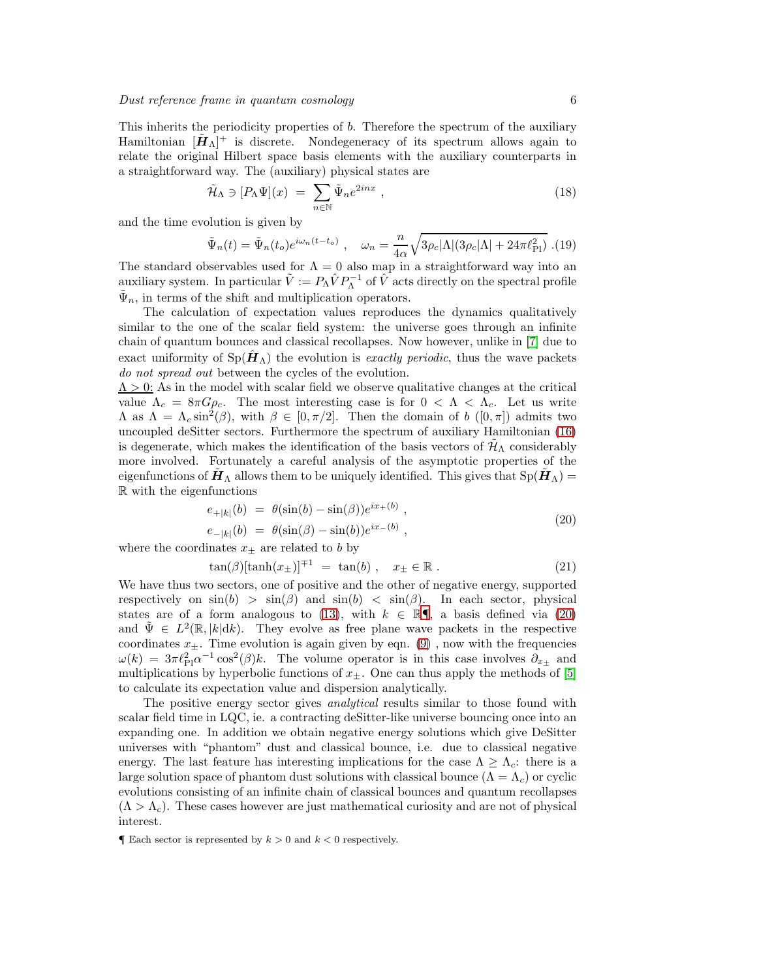This inherits the periodicity properties of b. Therefore the spectrum of the auxiliary Hamiltonian  $[\tilde{H}_\Lambda]^+$  is discrete. Nondegeneracy of its spectrum allows again to relate the original Hilbert space basis elements with the auxiliary counterparts in a straightforward way. The (auxiliary) physical states are

$$
\tilde{\mathcal{H}}_{\Lambda} \ni [P_{\Lambda}\Psi](x) = \sum_{n \in \mathbb{N}} \tilde{\Psi}_n e^{2inx} , \qquad (18)
$$

and the time evolution is given by

$$
\tilde{\Psi}_n(t) = \tilde{\Psi}_n(t_o)e^{i\omega_n(t-t_o)}, \quad \omega_n = \frac{n}{4\alpha}\sqrt{3\rho_c|\Lambda|(3\rho_c|\Lambda| + 24\pi\ell_{\rm Pl}^2)}.
$$
(19)

The standard observables used for  $\Lambda = 0$  also map in a straightforward way into an auxiliary system. In particular  $\tilde{V} := P_{\Lambda} \hat{V} P_{\Lambda}^{-1}$  of  $\hat{V}$  acts directly on the spectral profile  $\tilde{\Psi}_n$ , in terms of the shift and multiplication operators.

The calculation of expectation values reproduces the dynamics qualitatively similar to the one of the scalar field system: the universe goes through an infinite chain of quantum bounces and classical recollapses. Now however, unlike in [\[7\]](#page-7-6) due to exact uniformity of  $Sp(\tilde{H}_{\Lambda})$  the evolution is exactly periodic, thus the wave packets do not spread out between the cycles of the evolution.

 $\Lambda > 0$ : As in the model with scalar field we observe qualitative changes at the critical value  $\Lambda_c = 8\pi G \rho_c$ . The most interesting case is for  $0 < \Lambda < \Lambda_c$ . Let us write  $\Lambda$  as  $\Lambda = \Lambda_c \sin^2(\beta)$ , with  $\beta \in [0, \pi/2]$ . Then the domain of b  $([0, \pi])$  admits two uncoupled deSitter sectors. Furthermore the spectrum of auxiliary Hamiltonian [\(16\)](#page-4-0) is degenerate, which makes the identification of the basis vectors of  $\mathcal{H}_{\Lambda}$  considerably more involved. Fortunately a careful analysis of the asymptotic properties of the eigenfunctions of  $\mathbf{H}_{\Lambda}$  allows them to be uniquely identified. This gives that  $Sp(\mathbf{H}_{\Lambda})=$ R with the eigenfunctions

<span id="page-5-1"></span>
$$
e_{+|k|}(b) = \theta(\sin(b) - \sin(\beta))e^{ix_{+}(b)},
$$
  
\n
$$
e_{-|k|}(b) = \theta(\sin(\beta) - \sin(b))e^{ix_{-}(b)},
$$
\n(20)

where the coordinates  $x_{\pm}$  are related to b by

$$
\tan(\beta)[\tanh(x_{\pm})]^{\mp 1} = \tan(b), \quad x_{\pm} \in \mathbb{R} . \tag{21}
$$

We have thus two sectors, one of positive and the other of negative energy, supported respectively on  $\sin(b) > \sin(\beta)$  and  $\sin(b) < \sin(\beta)$ . In each sector, physical states are of a form analogous to [\(13\)](#page-4-1), with  $k \in \mathbb{R}$ , a basis defined via [\(20\)](#page-5-1) and  $\tilde{\Psi} \in L^2(\mathbb{R}, |k| \, dk)$ . They evolve as free plane wave packets in the respective coordinates  $x_{\pm}$ . Time evolution is again given by eqn. [\(9\)](#page-3-2), now with the frequencies  $\omega(k) = 3\pi \ell_{\rm Pl}^2 \alpha^{-1} \cos^2(\beta) k$ . The volume operator is in this case involves  $\partial_{x_\pm}$  and multiplications by hyperbolic functions of  $x_{\pm}$ . One can thus apply the methods of [\[5\]](#page-7-4) to calculate its expectation value and dispersion analytically.

The positive energy sector gives *analytical* results similar to those found with scalar field time in LQC, ie. a contracting deSitter-like universe bouncing once into an expanding one. In addition we obtain negative energy solutions which give DeSitter universes with "phantom" dust and classical bounce, i.e. due to classical negative energy. The last feature has interesting implications for the case  $\Lambda \geq \Lambda_c$ : there is a large solution space of phantom dust solutions with classical bounce  $(Λ = Λ<sub>c</sub>)$  or cyclic evolutions consisting of an infinite chain of classical bounces and quantum recollapses  $(\Lambda > \Lambda_c)$ . These cases however are just mathematical curiosity and are not of physical interest.

<span id="page-5-0"></span>**Each sector is represented by**  $k > 0$  **and**  $k < 0$  **respectively.**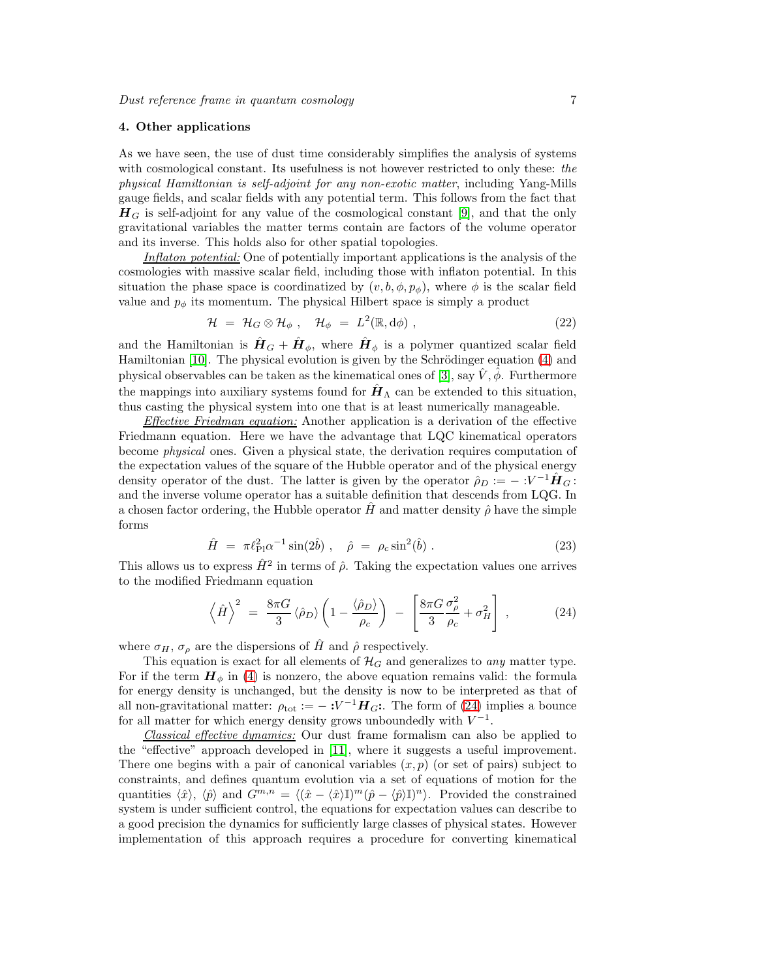### 4. Other applications

As we have seen, the use of dust time considerably simplifies the analysis of systems with cosmological constant. Its usefulness is not however restricted to only these: the physical Hamiltonian is self-adjoint for any non-exotic matter, including Yang-Mills gauge fields, and scalar fields with any potential term. This follows from the fact that  $H_G$  is self-adjoint for any value of the cosmological constant [\[9\]](#page-7-8), and that the only gravitational variables the matter terms contain are factors of the volume operator and its inverse. This holds also for other spatial topologies.

Inflaton potential: One of potentially important applications is the analysis of the cosmologies with massive scalar field, including those with inflaton potential. In this situation the phase space is coordinatized by  $(v, b, \phi, p_{\phi})$ , where  $\phi$  is the scalar field value and  $p_{\phi}$  its momentum. The physical Hilbert space is simply a product

$$
\mathcal{H} = \mathcal{H}_G \otimes \mathcal{H}_\phi \ , \quad \mathcal{H}_\phi = L^2(\mathbb{R}, d\phi) \ , \tag{22}
$$

and the Hamiltonian is  $\hat{H}_G + \hat{H}_\phi$ , where  $\hat{H}_\phi$  is a polymer quantized scalar field Hamiltonian  $[10]$ . The physical evolution is given by the Schrödinger equation  $(4)$  and physical observables can be taken as the kinematical ones of [\[3\]](#page-7-2), say  $\hat{V}$ ,  $\hat{\phi}$ . Furthermore the mappings into auxiliary systems found for  $\hat{H}_{\Lambda}$  can be extended to this situation, thus casting the physical system into one that is at least numerically manageable.

Effective Friedman equation: Another application is a derivation of the effective Friedmann equation. Here we have the advantage that LQC kinematical operators become physical ones. Given a physical state, the derivation requires computation of the expectation values of the square of the Hubble operator and of the physical energy density operator of the dust. The latter is given by the operator  $\rho_D := -\frac{1}{2} \mathbf{H}_G$ : and the inverse volume operator has a suitable definition that descends from LQG. In a chosen factor ordering, the Hubble operator  $\hat{H}$  and matter density  $\hat{\rho}$  have the simple forms

$$
\hat{H} = \pi \ell_{\text{Pl}}^2 \alpha^{-1} \sin(2\hat{b}) \;, \quad \hat{\rho} = \rho_c \sin^2(\hat{b}) \;.
$$
 (23)

This allows us to express  $\hat{H}^2$  in terms of  $\hat{\rho}$ . Taking the expectation values one arrives to the modified Friedmann equation

<span id="page-6-0"></span>
$$
\left\langle \hat{H} \right\rangle^2 = \frac{8\pi G}{3} \left\langle \hat{\rho}_D \right\rangle \left( 1 - \frac{\left\langle \hat{\rho}_D \right\rangle}{\rho_c} \right) - \left[ \frac{8\pi G}{3} \frac{\sigma_\rho^2}{\rho_c} + \sigma_H^2 \right] , \tag{24}
$$

where  $\sigma_H$ ,  $\sigma_\rho$  are the dispersions of  $\hat{H}$  and  $\hat{\rho}$  respectively.

This equation is exact for all elements of  $\mathcal{H}_G$  and generalizes to any matter type. For if the term  $H_{\phi}$  in [\(4\)](#page-1-0) is nonzero, the above equation remains valid: the formula for energy density is unchanged, but the density is now to be interpreted as that of all non-gravitational matter:  $\rho_{\text{tot}} := -\frac{1}{2} V^{-1} H_G$ : The form of [\(24\)](#page-6-0) implies a bounce for all matter for which energy density grows unboundedly with  $V^{-1}$ .

Classical effective dynamics: Our dust frame formalism can also be applied to the "effective" approach developed in [\[11\]](#page-7-10), where it suggests a useful improvement. There one begins with a pair of canonical variables  $(x, p)$  (or set of pairs) subject to constraints, and defines quantum evolution via a set of equations of motion for the quantities  $\langle \hat{x} \rangle$ ,  $\langle \hat{p} \rangle$  and  $G^{m,n} = \langle (\hat{x} - \langle \hat{x} \rangle \mathbb{I})^m (\hat{p} - \langle \hat{p} \rangle \mathbb{I})^n \rangle$ . Provided the constrained system is under sufficient control, the equations for expectation values can describe to a good precision the dynamics for sufficiently large classes of physical states. However implementation of this approach requires a procedure for converting kinematical